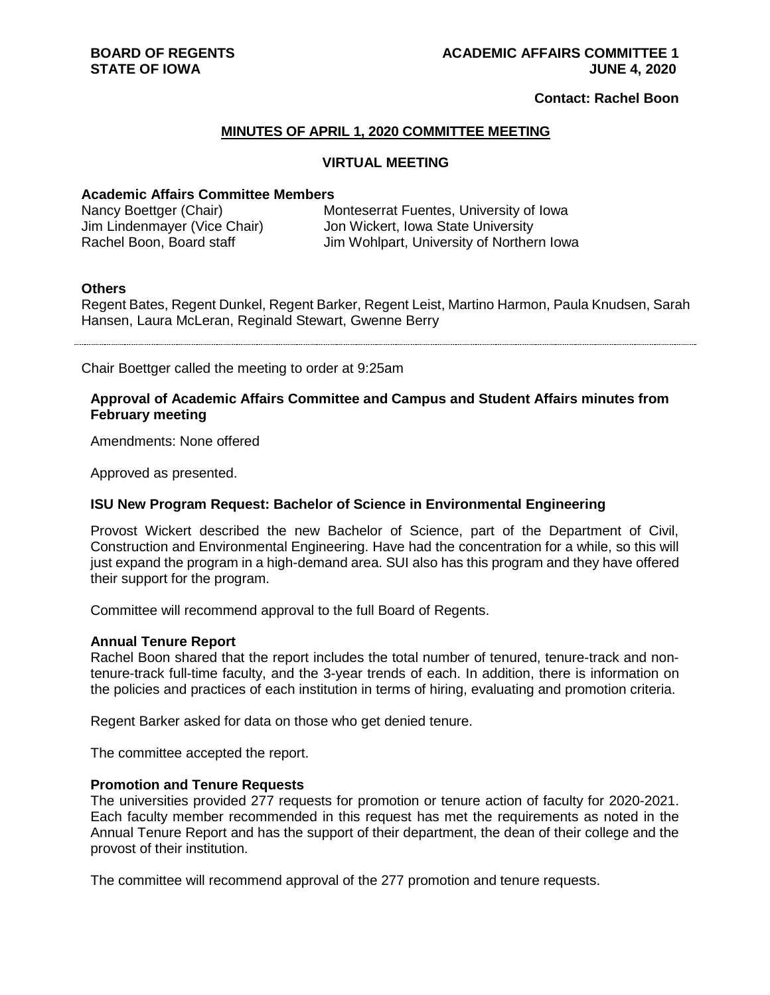## **Contact: Rachel Boon**

### **MINUTES OF APRIL 1, 2020 COMMITTEE MEETING**

#### **VIRTUAL MEETING**

# **Academic Affairs Committee Members**

| Nancy Boettger (Chair)       | Monteserrat Fuentes, University of Iowa   |
|------------------------------|-------------------------------------------|
| Jim Lindenmayer (Vice Chair) | Jon Wickert, Iowa State University        |
| Rachel Boon, Board staff     | Jim Wohlpart, University of Northern Iowa |

### **Others**

Regent Bates, Regent Dunkel, Regent Barker, Regent Leist, Martino Harmon, Paula Knudsen, Sarah Hansen, Laura McLeran, Reginald Stewart, Gwenne Berry

Chair Boettger called the meeting to order at 9:25am

### **Approval of Academic Affairs Committee and Campus and Student Affairs minutes from February meeting**

Amendments: None offered

Approved as presented.

## **ISU New Program Request: Bachelor of Science in Environmental Engineering**

Provost Wickert described the new Bachelor of Science, part of the Department of Civil, Construction and Environmental Engineering. Have had the concentration for a while, so this will just expand the program in a high-demand area. SUI also has this program and they have offered their support for the program.

Committee will recommend approval to the full Board of Regents.

#### **Annual Tenure Report**

Rachel Boon shared that the report includes the total number of tenured, tenure-track and nontenure-track full-time faculty, and the 3-year trends of each. In addition, there is information on the policies and practices of each institution in terms of hiring, evaluating and promotion criteria.

Regent Barker asked for data on those who get denied tenure.

The committee accepted the report.

#### **Promotion and Tenure Requests**

The universities provided 277 requests for promotion or tenure action of faculty for 2020-2021. Each faculty member recommended in this request has met the requirements as noted in the Annual Tenure Report and has the support of their department, the dean of their college and the provost of their institution.

The committee will recommend approval of the 277 promotion and tenure requests.